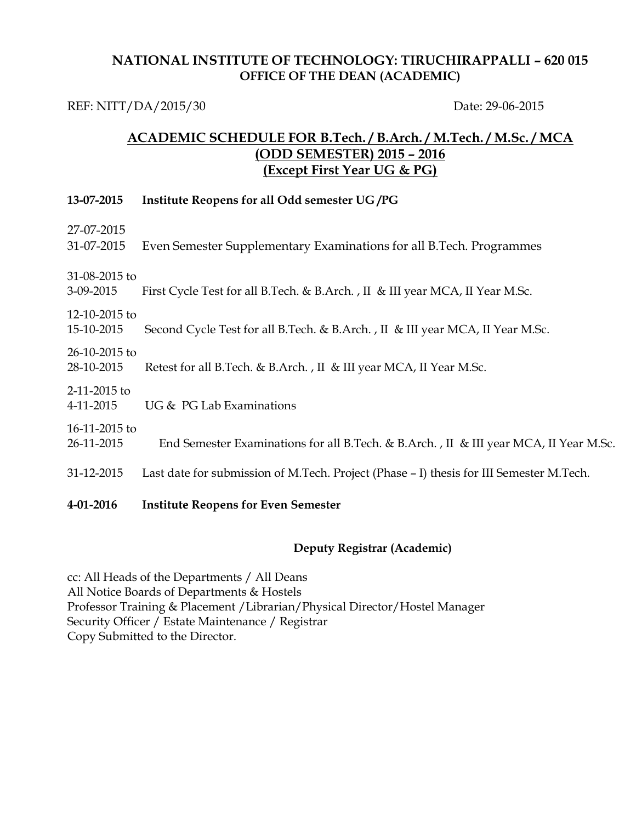### **NATIONAL INSTITUTE OF TECHNOLOGY: TIRUCHIRAPPALLI – 620 015 OFFICE OF THE DEAN (ACADEMIC)**

REF: NITT/DA/2015/30 Date: 29-06-2015

## **ACADEMIC SCHEDULE FOR B.Tech. / B.Arch. / M.Tech. / M.Sc. / MCA (ODD SEMESTER) 2015 – 2016 (Except First Year UG & PG)**

| 13-07-2015                    | Institute Reopens for all Odd semester UG/PG                                            |
|-------------------------------|-----------------------------------------------------------------------------------------|
| 27-07-2015<br>31-07-2015      | Even Semester Supplementary Examinations for all B. Tech. Programmes                    |
| 31-08-2015 to<br>3-09-2015    | First Cycle Test for all B.Tech. & B.Arch., II & III year MCA, II Year M.Sc.            |
| 12-10-2015 to<br>15-10-2015   | Second Cycle Test for all B.Tech. & B.Arch., II & III year MCA, II Year M.Sc.           |
| $26-10-2015$ to<br>28-10-2015 | Retest for all B.Tech. & B.Arch., II & III year MCA, II Year M.Sc.                      |
| 2-11-2015 to<br>4-11-2015     | UG & PG Lab Examinations                                                                |
| 16-11-2015 to<br>26-11-2015   | End Semester Examinations for all B.Tech. & B.Arch., II & III year MCA, II Year M.Sc.   |
| 31-12-2015                    | Last date for submission of M.Tech. Project (Phase - I) thesis for III Semester M.Tech. |
| 4-01-2016                     | <b>Institute Reopens for Even Semester</b>                                              |

#### **Deputy Registrar (Academic)**

cc: All Heads of the Departments / All Deans All Notice Boards of Departments & Hostels Professor Training & Placement /Librarian/Physical Director/Hostel Manager Security Officer / Estate Maintenance / Registrar Copy Submitted to the Director.